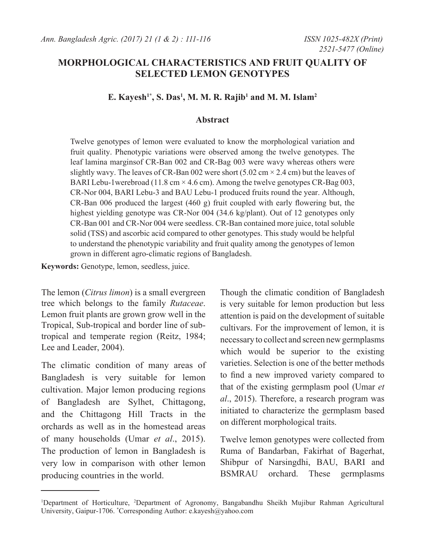## **MORPHOLOGICAL CHARACTERISTICS AND FRUIT QUALITY OF SELECTED LEMON GENOTYPES**

## **E. Kayesh1\*, S. Das1 , M. M. R. Rajib1 and M. M. Islam2**

#### **Abstract**

Twelve genotypes of lemon were evaluated to know the morphological variation and fruit quality. Phenotypic variations were observed among the twelve genotypes. The leaf lamina marginsof CR-Ban 002 and CR-Bag 003 were wavy whereas others were slightly wavy. The leaves of CR-Ban 002 were short (5.02 cm  $\times$  2.4 cm) but the leaves of BARI Lebu-1 werebroad (11.8 cm  $\times$  4.6 cm). Among the twelve genotypes CR-Bag 003, CR-Nor 004, BARI Lebu-3 and BAU Lebu-1 produced fruits round the year. Although, CR-Ban 006 produced the largest (460 g) fruit coupled with early flowering but, the highest yielding genotype was CR-Nor 004 (34.6 kg/plant). Out of 12 genotypes only CR-Ban 001 and CR-Nor 004 were seedless. CR-Ban contained more juice, total soluble solid (TSS) and ascorbic acid compared to other genotypes. This study would be helpful to understand the phenotypic variability and fruit quality among the genotypes of lemon grown in different agro-climatic regions of Bangladesh.

**Keywords:** Genotype, lemon, seedless, juice.

The lemon (*Citrus limon*) is a small evergreen tree which belongs to the family *Rutaceae*. Lemon fruit plants are grown grow well in the Tropical, Sub-tropical and border line of subtropical and temperate region (Reitz, 1984; Lee and Leader, 2004).

The climatic condition of many areas of Bangladesh is very suitable for lemon cultivation. Major lemon producing regions of Bangladesh are Sylhet, Chittagong, and the Chittagong Hill Tracts in the orchards as well as in the homestead areas of many households (Umar *et al*., 2015). The production of lemon in Bangladesh is very low in comparison with other lemon producing countries in the world.

Though the climatic condition of Bangladesh is very suitable for lemon production but less attention is paid on the development of suitable cultivars. For the improvement of lemon, it is necessary to collect and screen new germplasms which would be superior to the existing varieties. Selection is one of the better methods to find a new improved variety compared to that of the existing germplasm pool (Umar *et al*., 2015). Therefore, a research program was initiated to characterize the germplasm based on different morphological traits.

Twelve lemon genotypes were collected from Ruma of Bandarban, Fakirhat of Bagerhat, Shibpur of Narsingdhi, BAU, BARI and BSMRAU orchard. These germplasms

<sup>&</sup>lt;sup>1</sup>Department of Horticulture, <sup>2</sup>Department of Agronomy, Bangabandhu Sheikh Mujibur Rahman Agricultural University, Gaipur-1706. \* Corresponding Author: e.kayesh@yahoo.com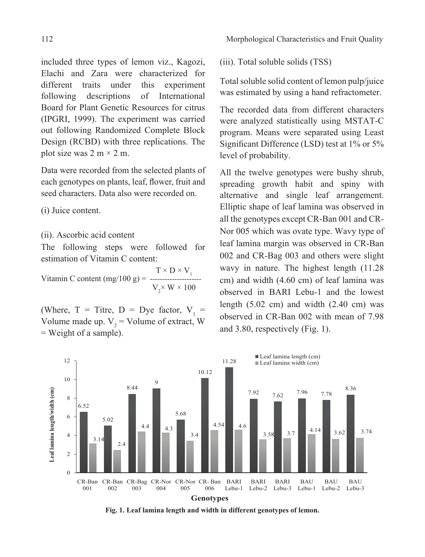included three types of lemon viz., Kagozi, Elachi and Zara were characterized for different traits under this experiment following descriptions of International Board for Plant Genetic Resources for citrus (IPGRI, 1999). The experiment was carried out following Randomized Complete Block Design (RCBD) with three replications. The plot size was  $2 \text{ m} \times 2 \text{ m}$ .

Data were recorded from the selected plants of each genotypes on plants, leaf, flower, fruit and seed characters. Data also were recorded on.

(i) Juice content.

(ii). Ascorbic acid content

The following steps were followed for estimation of Vitamin C content:

Vitamin C content (mg/100 g) =  $\frac{T \times D \times V_1}{T}$  $V_{2}$  $V_{\gamma} \times W \times 100$ 

(Where,  $T =$  Titre,  $D = Dye$  factor,  $V_1 =$ Volume made up.  $V_2$  = Volume of extract, W = Weight of a sample).

(iii). Total soluble solids (TSS)

Total soluble solid content of lemon pulp/juice was estimated by using a hand refractometer.

The recorded data from different characters were analyzed statistically using MSTAT-C program. Means were separated using Least Significant Difference (LSD) test at 1% or 5% level of probability.

All the twelve genotypes were bushy shrub, spreading growth habit and spiny with alternative and single leaf arrangement. Elliptic shape of leaf lamina was observed in all the genotypes except CR-Ban 001 and CR-Nor 005 which was ovate type. Wavy type of leaf lamina margin was observed in CR-Ban 002 and CR-Bag 003 and others were slight wavy in nature. The highest length (11.28 cm) and width (4.60 cm) of leaf lamina was observed in BARI Lebu-1 and the lowest length  $(5.02 \text{ cm})$  and width  $(2.40 \text{ cm})$  was observed in CR-Ban 002 with mean of 7.98 and 3.80, respectively (Fig. 1).



**Fig. 1. Leaf lamina length and width in different genotypes of lemon.**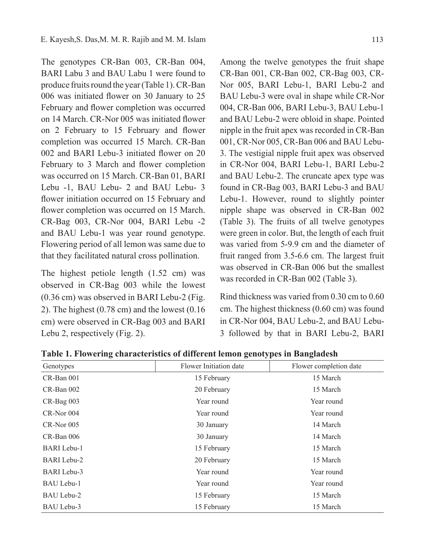The genotypes CR-Ban 003, CR-Ban 004, BARI Labu 3 and BAU Labu 1 were found to produce fruits round the year (Table 1). CR-Ban 006 was initiated flower on 30 January to 25 February and flower completion was occurred on 14 March. CR-Nor 005 was initiated flower on 2 February to 15 February and flower completion was occurred 15 March. CR-Ban 002 and BARI Lebu-3 initiated flower on 20 February to 3 March and flower completion was occurred on 15 March. CR-Ban 01, BARI Lebu -1, BAU Lebu- 2 and BAU Lebu- 3 flower initiation occurred on 15 February and flower completion was occurred on 15 March. CR-Bag 003, CR-Nor 004, BARI Lebu -2 and BAU Lebu-1 was year round genotype. Flowering period of all lemon was same due to that they facilitated natural cross pollination.

The highest petiole length (1.52 cm) was observed in CR-Bag 003 while the lowest (0.36 cm) was observed in BARI Lebu-2 (Fig. 2). The highest (0.78 cm) and the lowest (0.16 cm) were observed in CR-Bag 003 and BARI Lebu 2, respectively (Fig. 2).

Among the twelve genotypes the fruit shape CR-Ban 001, CR-Ban 002, CR-Bag 003, CR-Nor 005, BARI Lebu-1, BARI Lebu-2 and BAU Lebu-3 were oval in shape while CR-Nor 004, CR-Ban 006, BARI Lebu-3, BAU Lebu-1 and BAU Lebu-2 were obloid in shape. Pointed nipple in the fruit apex was recorded in CR-Ban 001, CR-Nor 005, CR-Ban 006 and BAU Lebu-3. The vestigial nipple fruit apex was observed in CR-Nor 004, BARI Lebu-1, BARI Lebu-2 and BAU Lebu-2. The cruncate apex type was found in CR-Bag 003, BARI Lebu-3 and BAU Lebu-1. However, round to slightly pointer nipple shape was observed in CR-Ban 002 (Table 3). The fruits of all twelve genotypes were green in color. But, the length of each fruit was varied from 5-9.9 cm and the diameter of fruit ranged from 3.5-6.6 cm. The largest fruit was observed in CR-Ban 006 but the smallest was recorded in CR-Ban 002 (Table 3).

Rind thickness was varied from 0.30 cm to 0.60 cm. The highest thickness (0.60 cm) was found in CR-Nor 004, BAU Lebu-2, and BAU Lebu-3 followed by that in BARI Lebu-2, BARI

| Genotypes          | Flower Initiation date | Flower completion date |
|--------------------|------------------------|------------------------|
| CR-Ban 001         | 15 February            | 15 March               |
| CR-Ban 002         | 20 February            | 15 March               |
| $CR$ -Bag 003      | Year round             | Year round             |
| CR-Nor 004         | Year round             | Year round             |
| $CR-Nor$ 005       | 30 January             | 14 March               |
| CR-Ban 006         | 30 January             | 14 March               |
| <b>BARI</b> Lebu-1 | 15 February            | 15 March               |
| <b>BARI</b> Lebu-2 | 20 February            | 15 March               |
| <b>BARI</b> Lebu-3 | Year round             | Year round             |
| BAU Lebu-1         | Year round             | Year round             |
| BAU Lebu-2         | 15 February            | 15 March               |
| BAU Lebu-3         | 15 February            | 15 March               |

**Table 1. Flowering characteristics of different lemon genotypes in Bangladesh**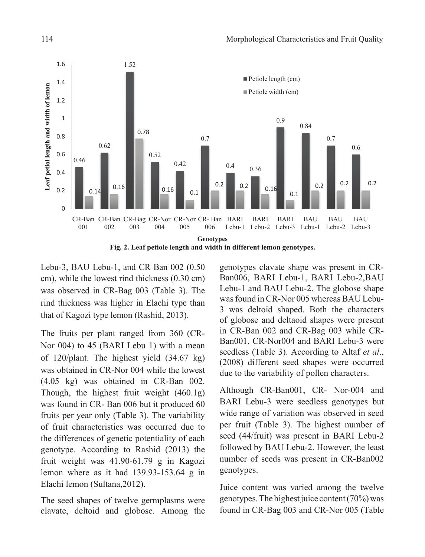

Lebu-3, BAU Lebu-1, and CR Ban 002 (0.50 cm), while the lowest rind thickness (0.30 cm) was observed in CR-Bag 003 (Table 3). The rind thickness was higher in Elachi type than that of Kagozi type lemon (Rashid, 2013).

The fruits per plant ranged from 360 (CR-Nor 004) to 45 (BARI Lebu 1) with a mean of 120/plant. The highest yield (34.67 kg) was obtained in CR-Nor 004 while the lowest (4.05 kg) was obtained in CR-Ban 002. Though, the highest fruit weight (460.1g) was found in CR- Ban 006 but it produced 60 fruits per year only (Table 3). The variability of fruit characteristics was occurred due to the differences of genetic potentiality of each genotype. According to Rashid (2013) the fruit weight was 41.90-61.79 g in Kagozi lemon where as it had 139.93-153.64 g in Elachi lemon (Sultana,2012).

The seed shapes of twelve germplasms were clavate, deltoid and globose. Among the

genotypes clavate shape was present in CR-Ban006, BARI Lebu-1, BARI Lebu-2,BAU Lebu-1 and BAU Lebu-2. The globose shape was found in CR-Nor 005 whereas BAU Lebu-3 was deltoid shaped. Both the characters of globose and deltaoid shapes were present in CR-Ban 002 and CR-Bag 003 while CR-Ban001, CR-Nor004 and BARI Lebu-3 were seedless (Table 3). According to Altaf *et al*., (2008) different seed shapes were occurred due to the variability of pollen characters.

Although CR-Ban001, CR- Nor-004 and BARI Lebu-3 were seedless genotypes but wide range of variation was observed in seed per fruit (Table 3). The highest number of seed (44/fruit) was present in BARI Lebu-2 followed by BAU Lebu-2. However, the least number of seeds was present in CR-Ban002 genotypes.

Juice content was varied among the twelve genotypes. The highest juice content (70%) was found in CR-Bag 003 and CR-Nor 005 (Table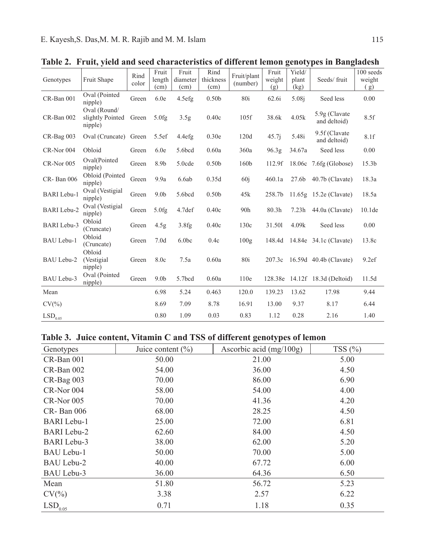|                       |                                             |               |                         |                           |                           |                         |                        | ◠<br>ັ                  |                                |                            |
|-----------------------|---------------------------------------------|---------------|-------------------------|---------------------------|---------------------------|-------------------------|------------------------|-------------------------|--------------------------------|----------------------------|
| Genotypes             | Fruit Shape                                 | Rind<br>color | Fruit<br>length<br>(cm) | Fruit<br>diameter<br>(cm) | Rind<br>thickness<br>(cm) | Fruit/plant<br>(number) | Fruit<br>weight<br>(g) | Yield/<br>plant<br>(kg) | Seeds/fruit                    | 100 seeds<br>weight<br>(g) |
| CR-Ban 001            | Oval (Pointed<br>nipple)                    | Green         | 6.0e                    | 4.5efg                    | 0.50 <sub>b</sub>         | 80i                     | 62.6i                  | 5.08i                   | Seed less                      | 0.00                       |
| CR-Ban 002            | Oval (Round/<br>slightly Pointed<br>nipple) | Green         | 5.0fg                   | 3.5 <sub>g</sub>          | 0.40c                     | 105f                    | 38.6k                  | 4.05k                   | 5.9g (Clavate)<br>and deltoid) | 8.5f                       |
| CR-Bag 003            | Oval (Cruncate)                             | Green         | 5.5ef                   | 4.4efg                    | 0.30e                     | 120d                    | 45.7 <sub>i</sub>      | 5.48i                   | 9.5f (Clavate)<br>and deltoid) | 8.1f                       |
| CR-Nor 004            | Obloid                                      | Green         | 6.0e                    | 5.6bcd                    | 0.60a                     | 360a                    | 96.3 <sub>g</sub>      | 34.67a                  | Seed less                      | 0.00                       |
| CR-Nor 005            | Oval(Pointed<br>nipple)                     | Green         | 8.9b                    | 5.0cde                    | 0.50 <sub>b</sub>         | 160b                    | 112.9f                 |                         | 18.06 $c$ 7.6fg (Globose)      | 15.3 <sub>b</sub>          |
| CR-Ban 006            | Obloid (Pointed<br>nipple)                  | Green         | 9.9a                    | 6.6ab                     | 0.35d                     | 60j                     | 460.1a                 |                         | 27.6b 40.7b (Clavate)          | 18.3a                      |
| <b>BARI</b> Lebu-1    | Oval (Vestigial<br>nipple)                  | Green         | 9.0 <sub>b</sub>        | 5.6bcd                    | 0.50 <sub>b</sub>         | 45k                     | 258.7b                 |                         | 11.65g 15.2e (Clavate)         | 18.5a                      |
| <b>BARI</b> Lebu-2    | Oval (Vestigial<br>nipple)                  | Green         | 5.0fg                   | 4.7def                    | 0.40c                     | 90h                     | 80.3h                  |                         | $7.23h$ 44.0a (Clavate)        | 10.1 <sub>de</sub>         |
| <b>BARI</b> Lebu-3    | Obloid<br>(Cruncate)                        | Green         | 4.5 <sub>g</sub>        | 3.8fg                     | 0.40c                     | 130c                    | 31.501                 | 4.09k                   | Seed less                      | 0.00                       |
| <b>BAU Lebu-1</b>     | Obloid<br>(Cruncate)                        | Green         | 7.0 <sub>d</sub>        | 6.0 <sub>b</sub>          | 0.4c                      | 100g                    |                        |                         | 148.4d 14.84e 34.1c (Clavate)  | 13.8c                      |
| <b>BAU Lebu-2</b>     | Obloid<br>(Vestigial)<br>nipple)            | Green         | 8.0c                    | 7.5a                      | 0.60a                     | 80i                     |                        |                         | 207.3c 16.59d 40.4b (Clavate)  | 9.2ef                      |
| BAU Lebu-3            | Oval (Pointed)<br>nipple)                   | Green         | 9.0 <sub>b</sub>        | 5.7bcd                    | 0.60a                     | 110e                    |                        |                         | 128.38e 14.12f 18.3d (Deltoid) | 11.5d                      |
| Mean                  |                                             |               | 6.98                    | 5.24                      | 0.463                     | 120.0                   | 139.23                 | 13.62                   | 17.98                          | 9.44                       |
| $CV(\% )$             |                                             |               | 8.69                    | 7.09                      | 8.78                      | 16.91                   | 13.00                  | 9.37                    | 8.17                           | 6.44                       |
| $\mathrm{LSD}_{0.05}$ |                                             |               | 0.80                    | 1.09                      | 0.03                      | 0.83                    | 1.12                   | 0.28                    | 2.16                           | 1.40                       |

**Table 2. Fruit, yield and seed characteristics of different lemon genotypes in Bangladesh**

# **Table 3. Juice content, Vitamin C and TSS of different genotypes of lemon**

| Genotypes             | Juice content $(\% )$ | Ascorbic acid $(mg/100g)$ | TSS $(\% )$ |
|-----------------------|-----------------------|---------------------------|-------------|
| CR-Ban 001            | 50.00                 | 21.00                     | 5.00        |
| CR-Ban 002            | 54.00                 | 36.00                     | 4.50        |
| CR-Bag 003            | 70.00                 | 86.00                     | 6.90        |
| CR-Nor 004            | 58.00                 | 54.00                     | 4.00        |
| $CR-Nor$ 005          | 70.00                 | 41.36                     | 4.20        |
| $CR$ - Ban 006        | 68.00                 | 28.25                     | 4.50        |
| <b>BARI</b> Lebu-1    | 25.00                 | 72.00                     | 6.81        |
| <b>BARI</b> Lebu-2    | 62.60                 | 84.00                     | 4.50        |
| <b>BARI</b> Lebu-3    | 38.00                 | 62.00                     | 5.20        |
| BAU Lebu-1            | 50.00                 | 70.00                     | 5.00        |
| BAU Lebu-2            | 40.00                 | 67.72                     | 6.00        |
| BAU Lebu-3            | 36.00                 | 64.36                     | 6.50        |
| Mean                  | 51.80                 | 56.72                     | 5.23        |
| $CV(\% )$             | 3.38                  | 2.57                      | 6.22        |
| $\mathrm{LSD}_{0.05}$ | 0.71                  | 1.18                      | 0.35        |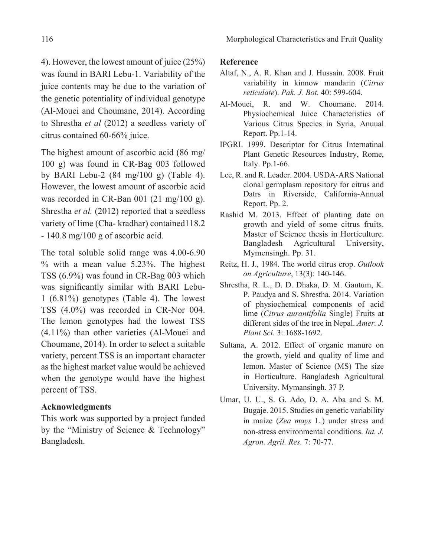4). However, the lowest amount of juice (25%) was found in BARI Lebu-1. Variability of the juice contents may be due to the variation of the genetic potentiality of individual genotype (Al-Mouei and Choumane, 2014). According to Shrestha *et al* (2012) a seedless variety of citrus contained 60-66% juice.

The highest amount of ascorbic acid (86 mg/ 100 g) was found in CR-Bag 003 followed by BARI Lebu-2 (84 mg/100 g) (Table 4). However, the lowest amount of ascorbic acid was recorded in CR-Ban 001 (21 mg/100 g). Shrestha *et al.* (2012) reported that a seedless variety of lime (Cha- kradhar) contained118.2 - 140.8 mg/100 g of ascorbic acid.

The total soluble solid range was 4.00-6.90 % with a mean value 5.23%. The highest TSS (6.9%) was found in CR-Bag 003 which was significantly similar with BARI Lebu-1 (6.81%) genotypes (Table 4). The lowest TSS (4.0%) was recorded in CR-Nor 004. The lemon genotypes had the lowest TSS (4.11%) than other varieties (Al-Mouei and Choumane, 2014). In order to select a suitable variety, percent TSS is an important character as the highest market value would be achieved when the genotype would have the highest percent of TSS.

### **Acknowledgments**

This work was supported by a project funded by the "Ministry of Science & Technology" Bangladesh.

#### **Reference**

- Altaf, N., A. R. Khan and J. Hussain. 2008. Fruit variability in kinnow mandarin (*Citrus reticulate*). *Pak. J. Bot.* 40: 599-604.
- Al-Mouei, R. and W. Choumane. 2014. Physiochemical Juice Characteristics of Various Citrus Species in Syria, Anuual Report. Pp.1-14.
- IPGRI. 1999. Descriptor for Citrus Internatinal Plant Genetic Resources Industry, Rome, Italy. Pp.1-66.
- Lee, R. and R. Leader. 2004. USDA-ARS National clonal germplasm repository for citrus and Datrs in Riverside, California-Annual Report. Pp. 2.
- Rashid M. 2013. Effect of planting date on growth and yield of some citrus fruits. Master of Science thesis in Horticulture. Bangladesh Agricultural University, Mymensingh. Pp. 31.
- Reitz, H. J., 1984. The world citrus crop. *Outlook on Agriculture*, 13(3): 140-146.
- Shrestha, R. L., D. D. Dhaka, D. M. Gautum, K. P. Paudya and S. Shrestha. 2014. Variation of physiochemical components of acid lime (*Citrus aurantifolia* Single) Fruits at different sides of the tree in Nepal. *Amer. J. Plant Sci.* 3: 1688-1692.
- Sultana, A. 2012. Effect of organic manure on the growth, yield and quality of lime and lemon. Master of Science (MS) The size in Horticulture. Bangladesh Agricultural University. Mymansingh. 37 P.
- Umar, U. U., S. G. Ado, D. A. Aba and S. M. Bugaje. 2015. Studies on genetic variability in maize (*Zea mays* L.) under stress and non-stress environmental conditions. *Int. J. Agron. Agril. Res.* 7: 70-77.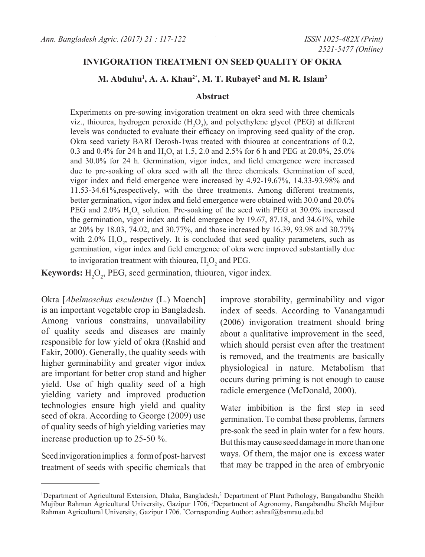### **INVIGORATION TREATMENT ON SEED QUALITY OF OKRA**

### **M. Abduhu1 , A. A. Khan2\*, M. T. Rubayet2 and M. R. Islam3**

#### **Abstract**

Experiments on pre-sowing invigoration treatment on okra seed with three chemicals viz., thiourea, hydrogen peroxide  $(H_2O_2)$ , and polyethylene glycol (PEG) at different levels was conducted to evaluate their efficacy on improving seed quality of the crop. Okra seed variety BARI Derosh-1was treated with thiourea at concentrations of 0.2, 0.3 and 0.4% for 24 h and  $H_2O_2$  at 1.5, 2.0 and 2.5% for 6 h and PEG at 20.0%, 25.0% and 30.0% for 24 h. Germination, vigor index, and field emergence were increased due to pre-soaking of okra seed with all the three chemicals. Germination of seed, vigor index and field emergence were increased by 4.92-19.67%, 14.33-93.98% and 11.53-34.61%,respectively, with the three treatments. Among different treatments, better germination, vigor index and field emergence were obtained with 30.0 and 20.0% PEG and  $2.0\%$  H<sub>2</sub>O<sub>2</sub> solution. Pre-soaking of the seed with PEG at 30.0% increased the germination, vigor index and field emergence by 19.67, 87.18, and 34.61%, while at 20% by 18.03, 74.02, and 30.77%, and those increased by 16.39, 93.98 and 30.77% with 2.0%  $H_2O_2$ , respectively. It is concluded that seed quality parameters, such as germination, vigor index and field emergence of okra were improved substantially due to invigoration treatment with thiourea,  $H_2O_2$  and PEG.

**Keywords:**  $H_2O_2$ , PEG, seed germination, thiourea, vigor index.

Okra [*Abelmoschus esculentus* (L.) Moench] is an important vegetable crop in Bangladesh. Among various constrains, unavailability of quality seeds and diseases are mainly responsible for low yield of okra (Rashid and Fakir, 2000). Generally, the quality seeds with higher germinability and greater vigor index are important for better crop stand and higher yield. Use of high quality seed of a high yielding variety and improved production technologies ensure high yield and quality seed of okra. According to George (2009) use of quality seeds of high yielding varieties may increase production up to 25-50 %.

Seed invigoration implies a form of post- harvest treatment of seeds with specific chemicals that improve storability, germinability and vigor index of seeds. According to Vanangamudi (2006) invigoration treatment should bring about a qualitative improvement in the seed, which should persist even after the treatment is removed, and the treatments are basically physiological in nature. Metabolism that occurs during priming is not enough to cause radicle emergence (McDonald, 2000).

Water imbibition is the first step in seed germination. To combat these problems, farmers pre-soak the seed in plain water for a few hours. But this may cause seed damage in more than one ways. Of them, the major one is excess water that may be trapped in the area of embryonic

<sup>&</sup>lt;sup>1</sup>Department of Agricultural Extension, Dhaka, Bangladesh,<sup>2</sup> Department of Plant Pathology, Bangabandhu Sheikh Mujibur Rahman Agricultural University, Gazipur 1706, <sup>3</sup> Department of Agronomy, Bangabandhu Sheikh Mujibur Rahman Agricultural University, Gazipur 1706. \* Corresponding Author: ashraf@bsmrau.edu.bd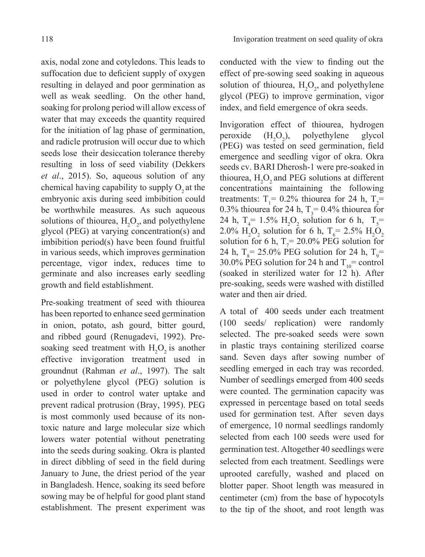axis, nodal zone and cotyledons. This leads to suffocation due to deficient supply of oxygen resulting in delayed and poor germination as well as weak seedling. On the other hand, soaking for prolong period will allow excess of water that may exceeds the quantity required for the initiation of lag phase of germination, and radicle protrusion will occur due to which seeds lose their desiccation tolerance thereby resulting in loss of seed viability (Dekkers *et al*., 2015). So, aqueous solution of any chemical having capability to supply  $O<sub>2</sub>$  at the embryonic axis during seed imbibition could be worthwhile measures. As such aqueous solutions of thiourea,  $H_2O_2$ , and polyethylene glycol (PEG) at varying concentration(s) and imbibition period(s) have been found fruitful in various seeds, which improves germination percentage, vigor index, reduces time to germinate and also increases early seedling growth and field establishment.

Pre-soaking treatment of seed with thiourea has been reported to enhance seed germination in onion, potato, ash gourd, bitter gourd, and ribbed gourd (Renugadevi, 1992). Presoaking seed treatment with  $H_2O_2$  is another effective invigoration treatment used in groundnut (Rahman *et al*., 1997). The salt or polyethylene glycol (PEG) solution is used in order to control water uptake and prevent radical protrusion (Bray, 1995). PEG is most commonly used because of its nontoxic nature and large molecular size which lowers water potential without penetrating into the seeds during soaking. Okra is planted in direct dibbling of seed in the field during January to June, the driest period of the year in Bangladesh. Hence, soaking its seed before sowing may be of helpful for good plant stand establishment. The present experiment was

conducted with the view to finding out the effect of pre-sowing seed soaking in aqueous solution of thiourea,  $H_2O_2$ , and polyethylene glycol (PEG) to improve germination, vigor index, and field emergence of okra seeds.

Invigoration effect of thiourea, hydrogen peroxide  $(H<sub>2</sub>O<sub>2</sub>)$ ), polyethylene glycol (PEG) was tested on seed germination, field emergence and seedling vigor of okra. Okra seeds cv. BARI Dherosh-1 were pre-soaked in thiourea,  $H_2O_2$  and PEG solutions at different concentrations maintaining the following treatments:  $T_1 = 0.2\%$  thiourea for 24 h,  $T_2 =$ 0.3% thiourea for 24 h,  $T_3 = 0.4\%$  thiourea for 24 h,  $T_4$  = 1.5%  $H_2O_2$  solution for 6 h,  $T_5$  = 2.0%  $H_2O_2$  solution for 6 h, T<sub>6</sub> = 2.5%  $H_2O_2$ solution for 6 h,  $T_7 = 20.0\%$  PEG solution for 24 h,  $T_s = 25.0\% \text{ PEG}$  solution for 24 h,  $T_s =$ 30.0% PEG solution for 24 h and  $T_{10}$ = control (soaked in sterilized water for 12 h). After pre-soaking, seeds were washed with distilled water and then air dried.

A total of 400 seeds under each treatment (100 seeds/ replication) were randomly selected. The pre-soaked seeds were sown in plastic trays containing sterilized coarse sand. Seven days after sowing number of seedling emerged in each tray was recorded. Number of seedlings emerged from 400 seeds were counted. The germination capacity was expressed in percentage based on total seeds used for germination test. After seven days of emergence, 10 normal seedlings randomly selected from each 100 seeds were used for germination test. Altogether 40 seedlings were selected from each treatment. Seedlings were uprooted carefully, washed and placed on blotter paper. Shoot length was measured in centimeter (cm) from the base of hypocotyls to the tip of the shoot, and root length was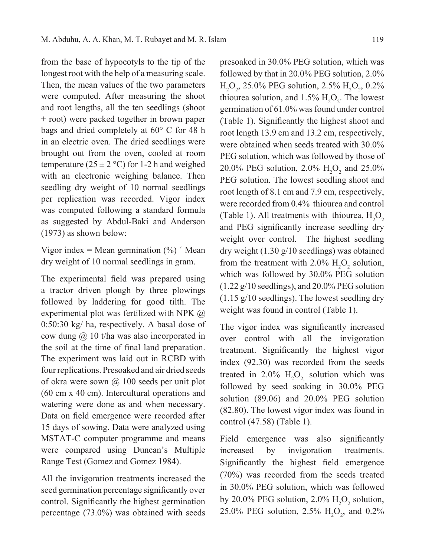from the base of hypocotyls to the tip of the longest root with the help of a measuring scale. Then, the mean values of the two parameters were computed. After measuring the shoot and root lengths, all the ten seedlings (shoot + root) were packed together in brown paper bags and dried completely at 60° C for 48 h in an electric oven. The dried seedlings were brought out from the oven, cooled at room temperature  $(25 \pm 2 \degree C)$  for 1-2 h and weighed with an electronic weighing balance. Then seedling dry weight of 10 normal seedlings per replication was recorded. Vigor index was computed following a standard formula as suggested by Abdul-Baki and Anderson (1973) as shown below:

Vigor index = Mean germination  $(\%)$  'Mean dry weight of 10 normal seedlings in gram.

The experimental field was prepared using a tractor driven plough by three plowings followed by laddering for good tilth. The experimental plot was fertilized with NPK @ 0:50:30 kg/ ha, respectively. A basal dose of cow dung @ 10 t/ha was also incorporated in the soil at the time of final land preparation. The experiment was laid out in RCBD with four replications. Presoaked and air dried seeds of okra were sown @ 100 seeds per unit plot (60 cm x 40 cm). Intercultural operations and watering were done as and when necessary. Data on field emergence were recorded after 15 days of sowing. Data were analyzed using MSTAT-C computer programme and means were compared using Duncan's Multiple Range Test (Gomez and Gomez 1984).

All the invigoration treatments increased the seed germination percentage significantly over control. Significantly the highest germination percentage (73.0%) was obtained with seeds

presoaked in 30.0% PEG solution, which was followed by that in 20.0% PEG solution, 2.0%  $H_2O_2$ , 25.0% PEG solution, 2.5%  $H_2O_2$ , 0.2% thiourea solution, and  $1.5\%$   $H_2O_2$ . The lowest germination of 61.0% was found under control (Table 1). Significantly the highest shoot and root length 13.9 cm and 13.2 cm, respectively, were obtained when seeds treated with 30.0% PEG solution, which was followed by those of 20.0% PEG solution, 2.0%  $H_2O_2$  and 25.0% PEG solution. The lowest seedling shoot and root length of 8.1 cm and 7.9 cm, respectively, were recorded from 0.4% thiourea and control (Table 1). All treatments with thiourea,  $H_2O_2$ and PEG significantly increase seedling dry weight over control. The highest seedling dry weight (1.30 g/10 seedlings) was obtained from the treatment with 2.0%  $H_2O_2$  solution, which was followed by 30.0% PEG solution  $(1.22 \text{ g}/10 \text{ seedlings})$ , and  $20.0\%$  PEG solution (1.15 g/10 seedlings). The lowest seedling dry weight was found in control (Table 1).

The vigor index was significantly increased over control with all the invigoration treatment. Significantly the highest vigor index (92.30) was recorded from the seeds treated in 2.0%  $H_2O_2$  solution which was followed by seed soaking in 30.0% PEG solution (89.06) and 20.0% PEG solution (82.80). The lowest vigor index was found in control (47.58) (Table 1).

Field emergence was also significantly increased by invigoration treatments. Significantly the highest field emergence (70%) was recorded from the seeds treated in 30.0% PEG solution, which was followed by 20.0% PEG solution,  $2.0\%$  H<sub>2</sub>O<sub>2</sub> solution, 25.0% PEG solution, 2.5%  $H_2O_2$ , and 0.2%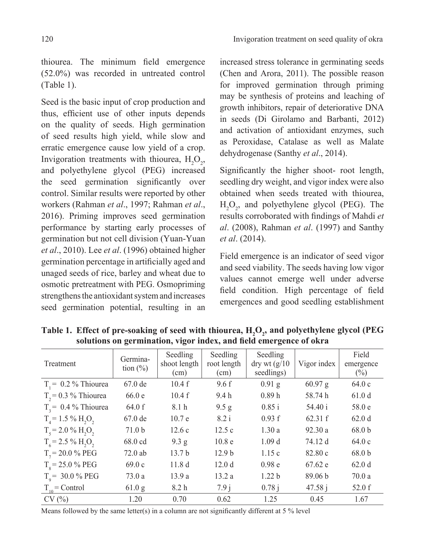thiourea. The minimum field emergence (52.0%) was recorded in untreated control (Table 1).

Seed is the basic input of crop production and thus, efficient use of other inputs depends on the quality of seeds. High germination of seed results high yield, while slow and erratic emergence cause low yield of a crop. Invigoration treatments with thiourea,  $H_2O_2$ , and polyethylene glycol (PEG) increased the seed germination significantly over control. Similar results were reported by other workers (Rahman *et al*., 1997; Rahman *et al*., 2016). Priming improves seed germination performance by starting early processes of germination but not cell division (Yuan-Yuan *et al*., 2010). Lee *et al*. (1996) obtained higher germination percentage in artificially aged and unaged seeds of rice, barley and wheat due to osmotic pretreatment with PEG. Osmopriming strengthens the antioxidant system and increases seed germination potential, resulting in an

increased stress tolerance in germinating seeds (Chen and Arora, 2011). The possible reason for improved germination through priming may be synthesis of proteins and leaching of growth inhibitors, repair of deteriorative DNA in seeds (Di Girolamo and Barbanti, 2012) and activation of antioxidant enzymes, such as Peroxidase, Catalase as well as Malate dehydrogenase (Santhy *et al*., 2014).

Significantly the higher shoot- root length, seedling dry weight, and vigor index were also obtained when seeds treated with thiourea,  $H_2O_2$ , and polyethylene glycol (PEG). The results corroborated with findings of Mahdi *et al*. (2008), Rahman *et al*. (1997) and Santhy *et al*. (2014).

Field emergence is an indicator of seed vigor and seed viability. The seeds having low vigor values cannot emerge well under adverse field condition. High percentage of field emergences and good seedling establishment

| Treatment                   | Germina-<br>tion $(\%)$ | Seedling<br>shoot length<br>(cm) | Seedling<br>root length<br>(cm) | Seedling<br>$\frac{dy}{dx}$ wt $\frac{g}{10}$<br>seedlings) | Vigor index        | Field<br>emergence<br>$(\%)$ |
|-----------------------------|-------------------------|----------------------------------|---------------------------------|-------------------------------------------------------------|--------------------|------------------------------|
| $T_i = 0.2 \%$ Thiourea     | $67.0$ de               | 10.4f                            | 9.6f                            | $0.91$ g                                                    | $60.97$ g          | 64.0c                        |
| $T_2 = 0.3 \%$ Thiourea     | 66.0e                   | 10.4f                            | 9.4h                            | 0.89h                                                       | 58.74 h            | 61.0d                        |
| $T3 = 0.4 %$ Thiourea       | 64.0 f                  | 8.1 <sub>h</sub>                 | 9.5 g                           | 0.85 i                                                      | 54.40 i            | 58.0 e                       |
| $T_{A} = 1.5 \% H_{2}O_{2}$ | $67.0$ de               | 10.7 e                           | 8.2 i                           | 0.93 f                                                      | 62.31 f            | 62.0d                        |
| $T_s = 2.0 \% H_2O_2$       | 71.0 <sub>b</sub>       | 12.6c                            | 12.5c                           | 1.30a                                                       | 92.30a             | 68.0 <sub>b</sub>            |
| $T_c = 2.5 \% H2O2$         | 68.0 cd                 | 9.3 g                            | 10.8 <sub>e</sub>               | 1.09 <sub>d</sub>                                           | 74.12 d            | 64.0c                        |
| $T_{7}$ = 20.0 % PEG        | $72.0$ ab               | 13.7 <sub>b</sub>                | 12.9 <sub>b</sub>               | 1.15c                                                       | 82.80c             | 68.0 <sub>b</sub>            |
| $T_s = 25.0 \%$ PEG         | 69.0c                   | 11.8 <sub>d</sub>                | 12.0 <sub>d</sub>               | 0.98 <sub>e</sub>                                           | 67.62 e            | 62.0d                        |
| $T_{0}$ = 30.0 % PEG        | 73.0a                   | 13.9a                            | 13.2a                           | 1.22 <sub>b</sub>                                           | 89.06 <sub>b</sub> | 70.0a                        |
| $T_{10}$ = Control          | 61.0 g                  | 8.2 <sub>h</sub>                 | 7.9j                            | 0.78j                                                       | 47.58j             | 52.0 f                       |
| CV(%)                       | 1.20                    | 0.70                             | 0.62                            | 1.25                                                        | 0.45               | 1.67                         |

Table 1. Effect of pre-soaking of seed with thiourea,  $H_2O_2$ , and polyethylene glycol (PEG **solutions on germination, vigor index, and field emergence of okra** 

Means followed by the same letter(s) in a column are not significantly different at  $5\%$  level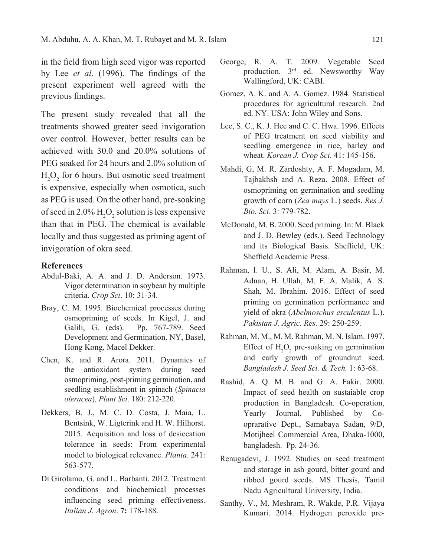in the field from high seed vigor was reported by Lee *et al*. (1996). The findings of the present experiment well agreed with the previous findings.

The present study revealed that all the treatments showed greater seed invigoration over control. However, better results can be achieved with 30.0 and 20.0% solutions of PEG soaked for 24 hours and 2.0% solution of  $H_2O_2$  for 6 hours. But osmotic seed treatment is expensive, especially when osmotica, such as PEG is used. On the other hand, pre-soaking of seed in 2.0%  $H_2O_2$  solution is less expensive than that in PEG. The chemical is available locally and thus suggested as priming agent of invigoration of okra seed.

#### **References**

- Abdul-Baki, A. A. and J. D. Anderson. 1973. Vigor determination in soybean by multiple criteria. *Crop Sci*. 10: 31-34.
- Bray, C. M. 1995. Biochemical processes during osmopriming of seeds. In Kigel, J. and Galili, G. (eds). Pp. 767-789. Seed Development and Germination. NY, Basel, Hong Kong, Macel Dekker.
- Chen, K. and R. Arora. 2011. Dynamics of the antioxidant system during seed osmopriming, post-priming germination, and seedling establishment in spinach (*Spinacia oleracea*). *Plant Sci*. 180: 212-220.
- Dekkers, B. J., M. C. D. Costa, J. Maia, L. Bentsink, W. Ligterink and H. W. Hilhorst. 2015. Acquisition and loss of desiccation tolerance in seeds: From experimental model to biological relevance. *Planta*. 241: 563-577.
- Di Girolamo, G. and L. Barbanti. 2012. Treatment conditions and biochemical processes influencing seed priming effectiveness. *Italian J. Agron*. **7:** 178-188.
- George, R. A. T. 2009. Vegetable Seed production. 3rd ed. Newsworthy Way Wallingford, UK: CABI.
- Gomez, A. K. and A. A. Gomez. 1984. Statistical procedures for agricultural research. 2nd ed. NY. USA: John Wiley and Sons.
- Lee, S. C., K. J. Hee and C. C. Hwa. 1996. Effects of PEG treatment on seed viability and seedling emergence in rice, barley and wheat. *Korean J. Crop Sci*. 41: 145-156.
- Mahdi, G, M. R. Zardoshty, A. F. Mogadam, M. Tajbakhsh and A. Reza. 2008. Effect of osmopriming on germination and seedling growth of corn (*Zea mays* L.) seeds. *Res J. Bio. Sci*. 3: 779-782.
- McDonald, M. B. 2000. Seed priming. In: M. Black and J. D. Bewley (eds.). Seed Technology and its Biological Basis. Sheffield, UK: Sheffield Academic Press.
- Rahman, I. U., S. Ali, M. Alam, A. Basir, M. Adnan, H. Ullah, M. F. A. Malik, A. S. Shah, M. Ibrahim. 2016. Effect of seed priming on germination performance and yield of okra (*Abelmoschus esculentus* L.). *Pakistan J. Agric. Res.* 29: 250-259.
- Rahman, M. M., M. M. Rahman, M. N. Islam. 1997. Effect of  $H_2O_2$  pre-soaking on germination and early growth of groundnut seed. *Bangladesh J. Seed Sci. & Tech.* 1: 63-68.
- Rashid, A. Q. M. B. and G. A. Fakir. 2000. Impact of seed health on sustaiable crop production in Bangladesh. Co-operation, Yearly Journal, Published by Cooprarative Dept., Samabaya Sadan, 9/D, Motijheel Commercial Area, Dhaka-1000, bangladesh. Pp. 24-36.
- Renugadevi, J. 1992. Studies on seed treatment and storage in ash gourd, bitter gourd and ribbed gourd seeds. MS Thesis, Tamil Nadu Agricultural University, India.
- Santhy, V., M. Meshram, R. Wakde, P.R. Vijaya Kumari. 2014. Hydrogen peroxide pre-